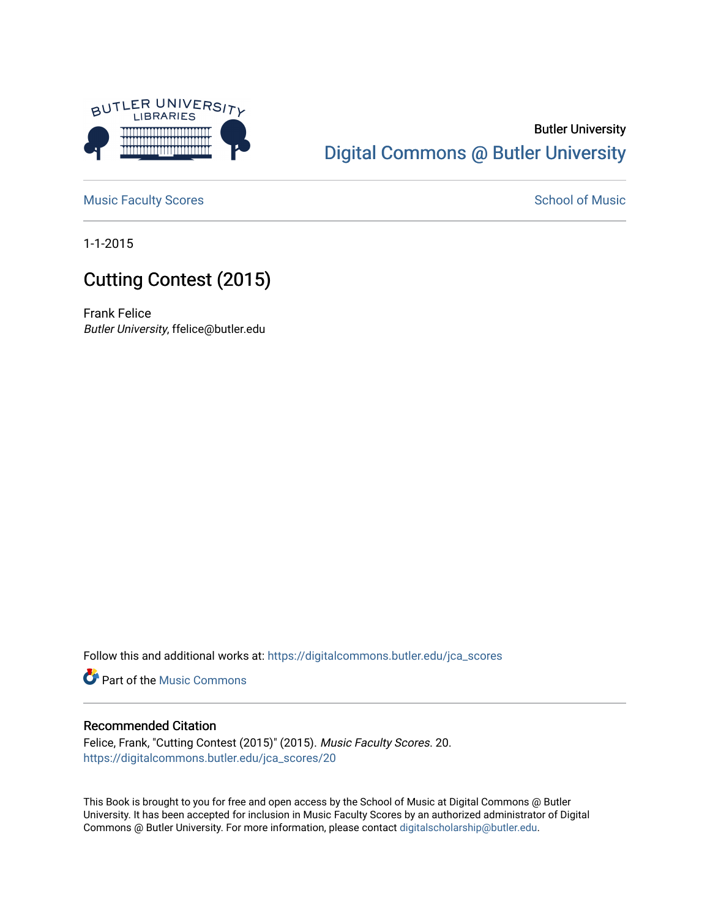

## Butler University [Digital Commons @ Butler University](https://digitalcommons.butler.edu/)

[Music Faculty Scores](https://digitalcommons.butler.edu/jca_scores) **School of Music** School of Music

1-1-2015

## Cutting Contest (2015)

Frank Felice Butler University, ffelice@butler.edu

Follow this and additional works at: [https://digitalcommons.butler.edu/jca\\_scores](https://digitalcommons.butler.edu/jca_scores?utm_source=digitalcommons.butler.edu%2Fjca_scores%2F20&utm_medium=PDF&utm_campaign=PDFCoverPages)

**Part of the Music Commons** 

## Recommended Citation

Felice, Frank, "Cutting Contest (2015)" (2015). Music Faculty Scores. 20. [https://digitalcommons.butler.edu/jca\\_scores/20](https://digitalcommons.butler.edu/jca_scores/20?utm_source=digitalcommons.butler.edu%2Fjca_scores%2F20&utm_medium=PDF&utm_campaign=PDFCoverPages) 

This Book is brought to you for free and open access by the School of Music at Digital Commons @ Butler University. It has been accepted for inclusion in Music Faculty Scores by an authorized administrator of Digital Commons @ Butler University. For more information, please contact [digitalscholarship@butler.edu](mailto:digitalscholarship@butler.edu).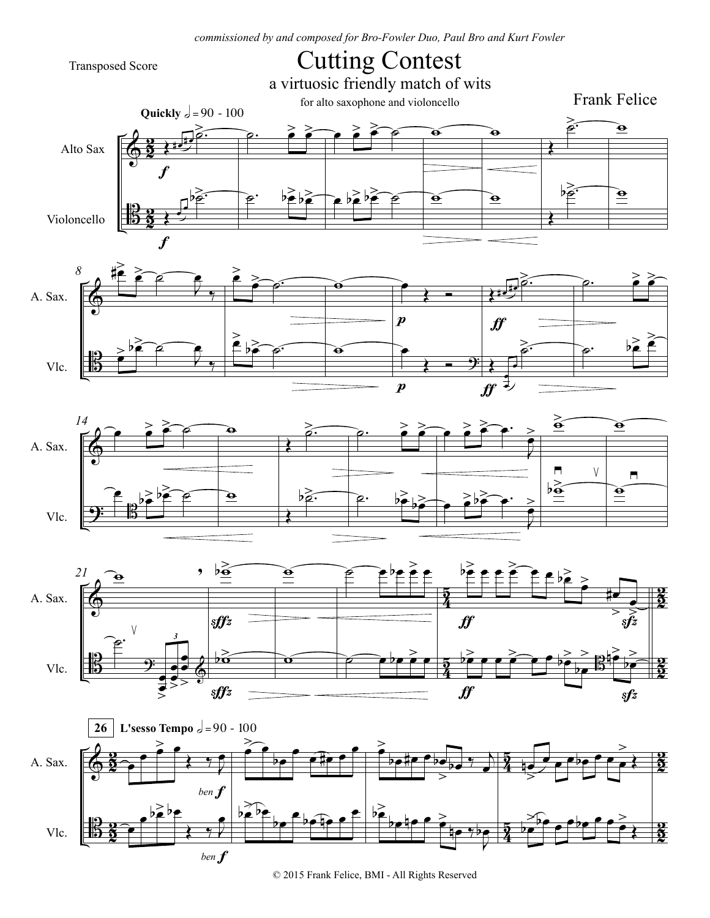commissioned by and composed for Bro-Fowler Duo, Paul Bro and Kurt Fowler

**Transposed Score** 

## **Cutting Contest**<br>a virtuosic friendly match of wits

Frank Felice











© 2015 Frank Felice, BMI - All Rights Reserved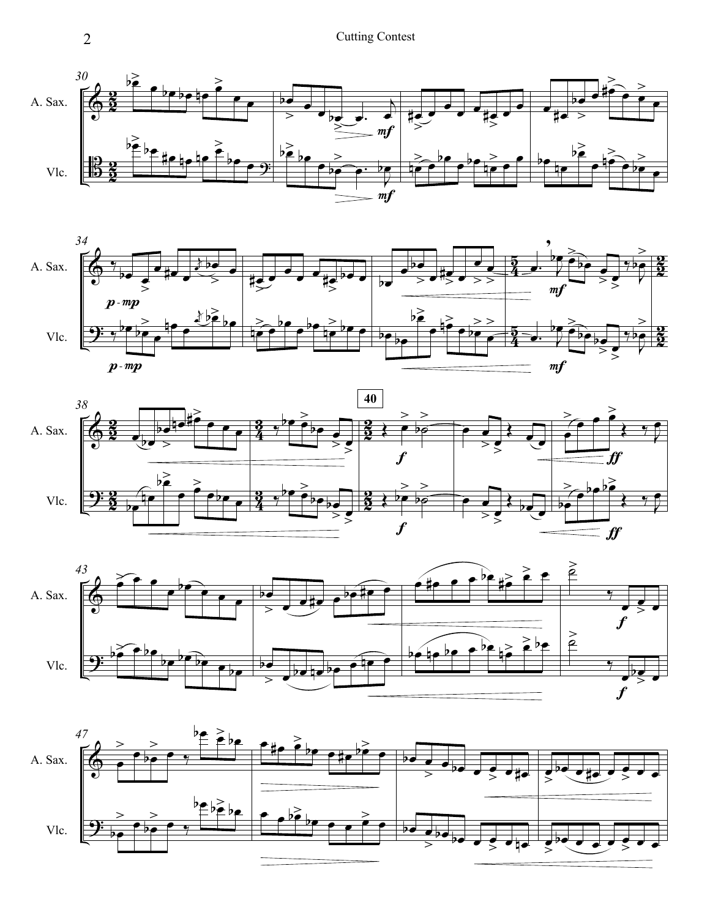